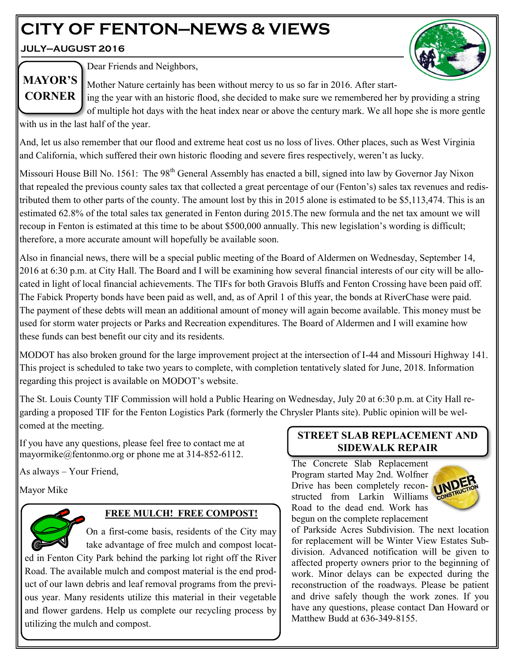# **CITY OF FENTON—NEWS & VIEWS**

**JULY—AUGUST 2016**

**MAYOR'S** 



Dear Friends and Neighbors,

Mother Nature certainly has been without mercy to us so far in 2016. After start-

ing the year with an historic flood, she decided to make sure we remembered her by providing a string of multiple hot days with the heat index near or above the century mark. We all hope she is more gentle **CORNER**

with us in the last half of the year.

And, let us also remember that our flood and extreme heat cost us no loss of lives. Other places, such as West Virginia and California, which suffered their own historic flooding and severe fires respectively, weren't as lucky.

Missouri House Bill No. 1561: The 98<sup>th</sup> General Assembly has enacted a bill, signed into law by Governor Jay Nixon that repealed the previous county sales tax that collected a great percentage of our (Fenton's) sales tax revenues and redistributed them to other parts of the county. The amount lost by this in 2015 alone is estimated to be \$5,113,474. This is an estimated 62.8% of the total sales tax generated in Fenton during 2015.The new formula and the net tax amount we will recoup in Fenton is estimated at this time to be about \$500,000 annually. This new legislation's wording is difficult; therefore, a more accurate amount will hopefully be available soon.

Also in financial news, there will be a special public meeting of the Board of Aldermen on Wednesday, September 14, 2016 at 6:30 p.m. at City Hall. The Board and I will be examining how several financial interests of our city will be allocated in light of local financial achievements. The TIFs for both Gravois Bluffs and Fenton Crossing have been paid off. The Fabick Property bonds have been paid as well, and, as of April 1 of this year, the bonds at RiverChase were paid. The payment of these debts will mean an additional amount of money will again become available. This money must be used for storm water projects or Parks and Recreation expenditures. The Board of Aldermen and I will examine how these funds can best benefit our city and its residents.

MODOT has also broken ground for the large improvement project at the intersection of I-44 and Missouri Highway 141. This project is scheduled to take two years to complete, with completion tentatively slated for June, 2018. Information regarding this project is available on MODOT's website.

The St. Louis County TIF Commission will hold a Public Hearing on Wednesday, July 20 at 6:30 p.m. at City Hall regarding a proposed TIF for the Fenton Logistics Park (formerly the Chrysler Plants site). Public opinion will be welcomed at the meeting.

If you have any questions, please feel free to contact me at mayormike@fentonmo.org or phone me at 314-852-6112.

As always – Your Friend,

utilizing the mulch and compost.

Mayor Mike



# **FREE MULCH! FREE COMPOST!**

On a first-come basis, residents of the City may take advantage of free mulch and compost located in Fenton City Park behind the parking lot right off the River Road. The available mulch and compost material is the end product of our lawn debris and leaf removal programs from the previous year. Many residents utilize this material in their vegetable and flower gardens. Help us complete our recycling process by

## **STREET SLAB REPLACEMENT AND SIDEWALK REPAIR**

The Concrete Slab Replacement Program started May 2nd. Wolfner Drive has been completely reconstructed from Larkin Williams Road to the dead end. Work has begun on the complete replacement



of Parkside Acres Subdivision. The next location for replacement will be Winter View Estates Subdivision. Advanced notification will be given to affected property owners prior to the beginning of work. Minor delays can be expected during the reconstruction of the roadways. Please be patient and drive safely though the work zones. If you have any questions, please contact Dan Howard or Matthew Budd at 636-349-8155.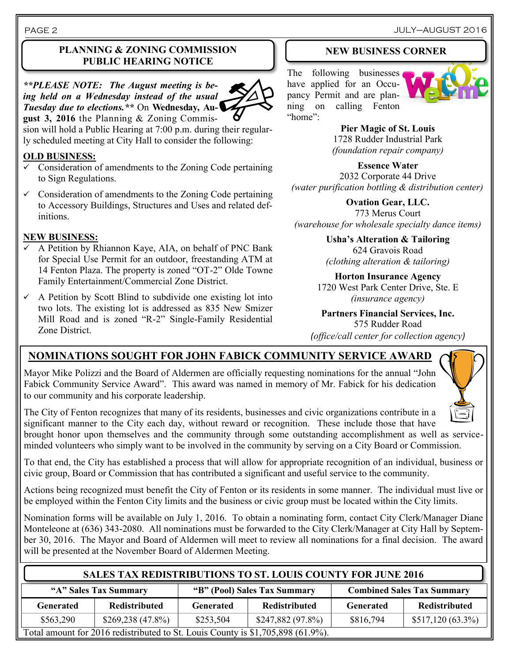JULY–AUGUST 2016

#### PAGE 2

#### **PLANNING & ZONING COMMISSION PUBLIC HEARING NOTICE**

*\*\*PLEASE NOTE: The August meeting is being held on a Wednesday instead of the usual Tuesday due to elections.\*\** On **Wednesday, August 3, 2016** the Planning & Zoning Commis-

sion will hold a Public Hearing at 7:00 p.m. during their regularly scheduled meeting at City Hall to consider the following:

#### **OLD BUSINESS:**

- $\checkmark$  Consideration of amendments to the Zoning Code pertaining to Sign Regulations.
- $\checkmark$  Consideration of amendments to the Zoning Code pertaining to Accessory Buildings, Structures and Uses and related definitions.

#### **NEW BUSINESS:**

- A Petition by Rhiannon Kaye, AIA, on behalf of PNC Bank for Special Use Permit for an outdoor, freestanding ATM at 14 Fenton Plaza. The property is zoned "OT-2" Olde Towne Family Entertainment/Commercial Zone District.
- $\sim$  A Petition by Scott Blind to subdivide one existing lot into two lots. The existing lot is addressed as 835 New Smizer Mill Road and is zoned "R-2" Single-Family Residential Zone District.

#### **NEW BUSINESS CORNER**

The following businesses have applied for an Occupancy Permit and are planning on calling Fenton "home":



**Pier Magic of St. Louis** 1728 Rudder Industrial Park *(foundation repair company)*

**Essence Water** 2032 Corporate 44 Drive *(water purification bottling & distribution center)*

**Ovation Gear, LLC.** 773 Merus Court *(warehouse for wholesale specialty dance items)*

> **Usha's Alteration & Tailoring** 624 Gravois Road *(clothing alteration & tailoring)*

**Horton Insurance Agency** 1720 West Park Center Drive, Ste. E *(insurance agency)*

#### **Partners Financial Services, Inc.** 575 Rudder Road

*(office/call center for collection agency)*

# **NOMINATIONS SOUGHT FOR JOHN FABICK COMMUNITY SERVICE AWARD**

Mayor Mike Polizzi and the Board of Aldermen are officially requesting nominations for the annual "John Fabick Community Service Award". This award was named in memory of Mr. Fabick for his dedication to our community and his corporate leadership.



The City of Fenton recognizes that many of its residents, businesses and civic organizations contribute in a significant manner to the City each day, without reward or recognition. These include those that have brought honor upon themselves and the community through some outstanding accomplishment as well as serviceminded volunteers who simply want to be involved in the community by serving on a City Board or Commission.

To that end, the City has established a process that will allow for appropriate recognition of an individual, business or civic group, Board or Commission that has contributed a significant and useful service to the community.

Actions being recognized must benefit the City of Fenton or its residents in some manner. The individual must live or be employed within the Fenton City limits and the business or civic group must be located within the City limits.

Nomination forms will be available on July 1, 2016. To obtain a nominating form, contact City Clerk/Manager Diane Monteleone at (636) 343-2080. All nominations must be forwarded to the City Clerk/Manager at City Hall by September 30, 2016. The Mayor and Board of Aldermen will meet to review all nominations for a final decision. The award will be presented at the November Board of Aldermen Meeting.

## **SALES TAX REDISTRIBUTIONS TO ST. LOUIS COUNTY FOR JUNE 2016**

| "A" Sales Tax Summary                                                           |                      | "B" (Pool) Sales Tax Summary |                      | <b>Combined Sales Tax Summary</b> |                      |  |
|---------------------------------------------------------------------------------|----------------------|------------------------------|----------------------|-----------------------------------|----------------------|--|
| Generated                                                                       | <b>Redistributed</b> | Generated                    | <b>Redistributed</b> | Generated                         | <b>Redistributed</b> |  |
| \$563,290                                                                       | $$269,238(47.8\%)$   | \$253,504                    | $$247,882(97.8\%)$   | \$816,794                         | $$517,120(63.3\%)$   |  |
| Total amount for 2016 redistributed to St. Louis County is \$1,705,898 (61.9%). |                      |                              |                      |                                   |                      |  |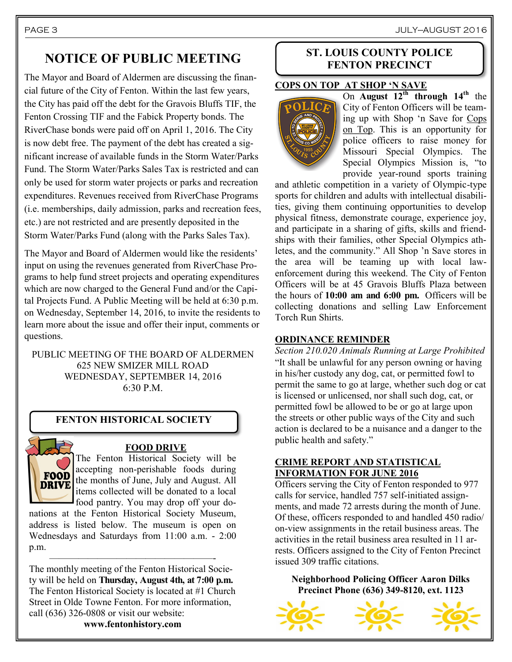# **NOTICE OF PUBLIC MEETING**

The Mayor and Board of Aldermen are discussing the financial future of the City of Fenton. Within the last few years, the City has paid off the debt for the Gravois Bluffs TIF, the Fenton Crossing TIF and the Fabick Property bonds. The RiverChase bonds were paid off on April 1, 2016. The City is now debt free. The payment of the debt has created a significant increase of available funds in the Storm Water/Parks Fund. The Storm Water/Parks Sales Tax is restricted and can only be used for storm water projects or parks and recreation expenditures. Revenues received from RiverChase Programs (i.e. memberships, daily admission, parks and recreation fees, etc.) are not restricted and are presently deposited in the Storm Water/Parks Fund (along with the Parks Sales Tax).

The Mayor and Board of Aldermen would like the residents' input on using the revenues generated from RiverChase Programs to help fund street projects and operating expenditures which are now charged to the General Fund and/or the Capital Projects Fund. A Public Meeting will be held at 6:30 p.m. on Wednesday, September 14, 2016, to invite the residents to learn more about the issue and offer their input, comments or questions.

PUBLIC MEETING OF THE BOARD OF ALDERMEN 625 NEW SMIZER MILL ROAD WEDNESDAY, SEPTEMBER 14, 2016  $6:30 P M$ 

#### **FENTON HISTORICAL SOCIETY**



#### **FOOD DRIVE**

The Fenton Historical Society will be accepting non-perishable foods during the months of June, July and August. All items collected will be donated to a local food pantry. You may drop off your do-

nations at the Fenton Historical Society Museum, address is listed below. The museum is open on Wednesdays and Saturdays from 11:00 a.m. - 2:00 p.m.

—————————————————- The monthly meeting of the Fenton Historical Society will be held on **Thursday, August 4th, at 7:00 p.m.**  The Fenton Historical Society is located at #1 Church Street in Olde Towne Fenton. For more information, call (636) 326-0808 or visit our website:

**www.fentonhistory.com**

#### **ST. LOUIS COUNTY POLICE FENTON PRECINCT**

#### **COPS ON TOP AT SHOP 'N SAVE**



On **August 12th through 14th** the City of Fenton Officers will be teaming up with Shop 'n Save for Cops on Top. This is an opportunity for police officers to raise money for Missouri Special Olympics. The Special Olympics Mission is, "to provide year-round sports training

and athletic competition in a variety of Olympic-type sports for children and adults with intellectual disabilities, giving them continuing opportunities to develop physical fitness, demonstrate courage, experience joy, and participate in a sharing of gifts, skills and friendships with their families, other Special Olympics athletes, and the community." All Shop 'n Save stores in the area will be teaming up with local lawenforcement during this weekend. The City of Fenton Officers will be at 45 Gravois Bluffs Plaza between the hours of **10:00 am and 6:00 pm.** Officers will be collecting donations and selling Law Enforcement Torch Run Shirts.

#### **ORDINANCE REMINDER**

*Section 210.020 Animals Running at Large Prohibited* "It shall be unlawful for any person owning or having in his/her custody any dog, cat, or permitted fowl to permit the same to go at large, whether such dog or cat is licensed or unlicensed, nor shall such dog, cat, or permitted fowl be allowed to be or go at large upon the streets or other public ways of the City and such action is declared to be a nuisance and a danger to the public health and safety."

#### **CRIME REPORT AND STATISTICAL INFORMATION FOR JUNE 2016**

Officers serving the City of Fenton responded to 977 calls for service, handled 757 self-initiated assignments, and made 72 arrests during the month of June. Of these, officers responded to and handled 450 radio/ on-view assignments in the retail business areas. The activities in the retail business area resulted in 11 arrests. Officers assigned to the City of Fenton Precinct issued 309 traffic citations.

**Neighborhood Policing Officer Aaron Dilks Precinct Phone (636) 349-8120, ext. 1123**





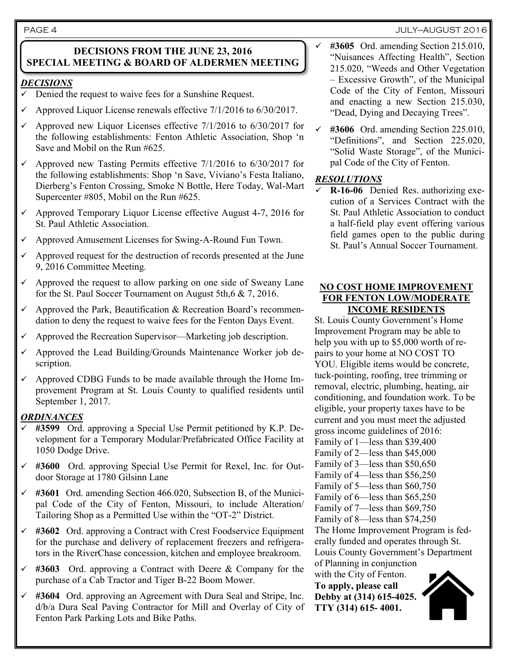PAGE 4 JULY—AUGUST 2016

#### **DECISIONS FROM THE JUNE 23, 2016 SPECIAL MEETING & BOARD OF ALDERMEN MEETING**

#### *DECISIONS*

- Denied the request to waive fees for a Sunshine Request.
- Approved Liquor License renewals effective 7/1/2016 to 6/30/2017.
- Approved new Liquor Licenses effective 7/1/2016 to 6/30/2017 for the following establishments: Fenton Athletic Association, Shop 'n Save and Mobil on the Run #625.
- $\checkmark$  Approved new Tasting Permits effective 7/1/2016 to 6/30/2017 for the following establishments: Shop 'n Save, Viviano's Festa Italiano, Dierberg's Fenton Crossing, Smoke N Bottle, Here Today, Wal-Mart Supercenter #805, Mobil on the Run #625.
- $\checkmark$  Approved Temporary Liquor License effective August 4-7, 2016 for St. Paul Athletic Association.
- Approved Amusement Licenses for Swing-A-Round Fun Town.
- Approved request for the destruction of records presented at the June 9, 2016 Committee Meeting.
- Approved the request to allow parking on one side of Sweany Lane for the St. Paul Soccer Tournament on August 5th,6 & 7, 2016.
- Approved the Park, Beautification & Recreation Board's recommendation to deny the request to waive fees for the Fenton Days Event.
- Approved the Recreation Supervisor—Marketing job description.
- $\checkmark$  Approved the Lead Building/Grounds Maintenance Worker job description.
- $\checkmark$  Approved CDBG Funds to be made available through the Home Improvement Program at St. Louis County to qualified residents until September 1, 2017.

#### *ORDINANCES*

- **#3599** Ord. approving a Special Use Permit petitioned by K.P. Development for a Temporary Modular/Prefabricated Office Facility at 1050 Dodge Drive.
- **#3600** Ord. approving Special Use Permit for Rexel, Inc. for Outdoor Storage at 1780 Gilsinn Lane
- **#3601** Ord. amending Section 466.020, Subsection B, of the Municipal Code of the City of Fenton, Missouri, to include Alteration/ Tailoring Shop as a Permitted Use within the "OT-2" District.
- **#3602** Ord. approving a Contract with Crest Foodservice Equipment for the purchase and delivery of replacement freezers and refrigerators in the RiverChase concession, kitchen and employee breakroom.
- **#3603** Ord. approving a Contract with Deere & Company for the purchase of a Cab Tractor and Tiger B-22 Boom Mower.
- **#3604** Ord. approving an Agreement with Dura Seal and Stripe, Inc. d/b/a Dura Seal Paving Contractor for Mill and Overlay of City of Fenton Park Parking Lots and Bike Paths.
- **#3605** Ord. amending Section 215.010, "Nuisances Affecting Health", Section 215.020, "Weeds and Other Vegetation – Excessive Growth", of the Municipal Code of the City of Fenton, Missouri and enacting a new Section 215.030, "Dead, Dying and Decaying Trees".
- **#3606** Ord. amending Section 225.010, "Definitions", and Section 225.020, "Solid Waste Storage", of the Municipal Code of the City of Fenton.

#### *RESOLUTIONS*

 **R-16-06** Denied Res. authorizing execution of a Services Contract with the St. Paul Athletic Association to conduct a half-field play event offering various field games open to the public during St. Paul's Annual Soccer Tournament.

#### **NO COST HOME IMPROVEMENT FOR FENTON LOW/MODERATE INCOME RESIDENTS**

St. Louis County Government's Home Improvement Program may be able to help you with up to \$5,000 worth of repairs to your home at NO COST TO YOU. Eligible items would be concrete, tuck-pointing, roofing, tree trimming or removal, electric, plumbing, heating, air conditioning, and foundation work. To be eligible, your property taxes have to be current and you must meet the adjusted gross income guidelines of 2016: Family of 1—less than \$39,400 Family of 2—less than \$45,000 Family of 3—less than \$50,650 Family of 4—less than \$56,250 Family of 5—less than \$60,750 Family of 6—less than \$65,250 Family of 7—less than \$69,750 Family of 8—less than \$74,250 The Home Improvement Program is federally funded and operates through St. Louis County Government's Department of Planning in conjunction with the City of Fenton.

**To apply, please call Debby at (314) 615-4025. TTY (314) 615- 4001.**

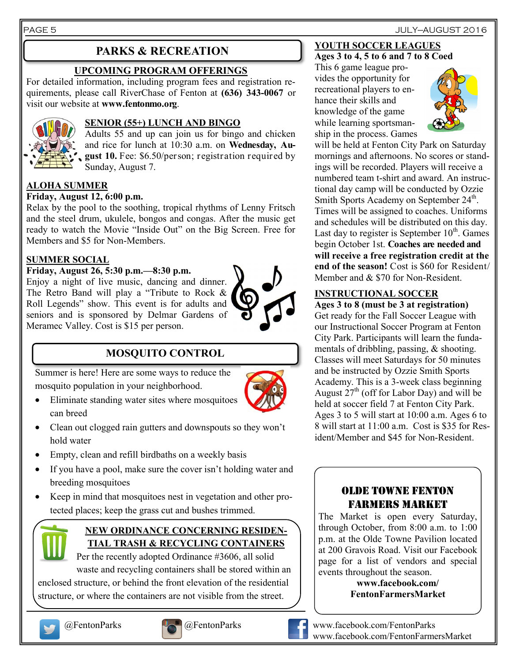#### PAGE 5 JULY—AUGUST 2016

# **PARKS & RECREATION**

### **UPCOMING PROGRAM OFFERINGS**

For detailed information, including program fees and registration requirements, please call RiverChase of Fenton at **(636) 343-0067** or visit our website at **www.fentonmo.org**.



#### **SENIOR (55+) LUNCH AND BINGO**

Adults 55 and up can join us for bingo and chicken and rice for lunch at 10:30 a.m. on **Wednesday, August 10.** Fee: \$6.50/person; registration required by Sunday, August 7.

#### **ALOHA SUMMER**

#### **Friday, August 12, 6:00 p.m.**

Relax by the pool to the soothing, tropical rhythms of Lenny Fritsch and the steel drum, ukulele, bongos and congas. After the music get ready to watch the Movie "Inside Out" on the Big Screen. Free for Members and \$5 for Non-Members.

#### **SUMMER SOCIAL**

#### **Friday, August 26, 5:30 p.m.—8:30 p.m.**

Enjoy a night of live music, dancing and dinner. The Retro Band will play a "Tribute to Rock & Roll Legends" show. This event is for adults and seniors and is sponsored by Delmar Gardens of Meramec Valley. Cost is \$15 per person.



# **MOSQUITO CONTROL**

Summer is here! Here are some ways to reduce the mosquito population in your neighborhood.

- Eliminate standing water sites where mosquitoes can breed
- Clean out clogged rain gutters and downspouts so they won't hold water
- Empty, clean and refill birdbaths on a weekly basis
- If you have a pool, make sure the cover isn't holding water and breeding mosquitoes
- Keep in mind that mosquitoes nest in vegetation and other protected places; keep the grass cut and bushes trimmed.



#### **NEW ORDINANCE CONCERNING RESIDEN-TIAL TRASH & RECYCLING CONTAINERS**

Per the recently adopted Ordinance #3606, all solid waste and recycling containers shall be stored within an enclosed structure, or behind the front elevation of the residential structure, or where the containers are not visible from the street.





This 6 game league provides the opportunity for

recreational players to enhance their skills and knowledge of the game while learning sportsmanship in the process. Games

**YOUTH SOCCER LEAGUES Ages 3 to 4, 5 to 6 and 7 to 8 Coed**



will be held at Fenton City Park on Saturday mornings and afternoons. No scores or standings will be recorded. Players will receive a numbered team t-shirt and award. An instructional day camp will be conducted by Ozzie Smith Sports Academy on September 24<sup>th</sup>. Times will be assigned to coaches. Uniforms and schedules will be distributed on this day. Last day to register is September  $10^{th}$ . Games begin October 1st. **Coaches are needed and will receive a free registration credit at the end of the season!** Cost is \$60 for Resident/ Member and & \$70 for Non-Resident.

#### **INSTRUCTIONAL SOCCER**

**Ages 3 to 8 (must be 3 at registration)** Get ready for the Fall Soccer League with our Instructional Soccer Program at Fenton City Park. Participants will learn the fundamentals of dribbling, passing, & shooting. Classes will meet Saturdays for 50 minutes and be instructed by Ozzie Smith Sports Academy. This is a 3-week class beginning August  $27<sup>th</sup>$  (off for Labor Day) and will be held at soccer field 7 at Fenton City Park. Ages 3 to 5 will start at 10:00 a.m. Ages 6 to 8 will start at 11:00 a.m. Cost is \$35 for Resident/Member and \$45 for Non-Resident.

### OLDE TOWNE FENTON FARMERS MARKET

The Market is open every Saturday, through October, from 8:00 a.m. to 1:00 p.m. at the Olde Towne Pavilion located at 200 Gravois Road. Visit our Facebook page for a list of vendors and special events throughout the season.

> **www.facebook.com/ FentonFarmersMarket**



@FentonParks @FentonParks www.facebook.com/FentonParks www.facebook.com/FentonFarmersMarket